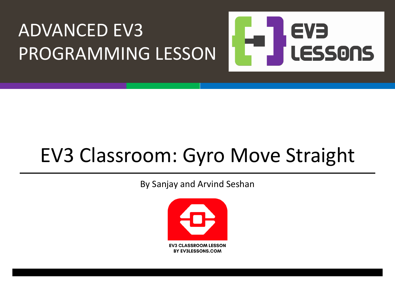#### ADVANCED EV3 EVE LESSONS PROGRAMMING LESSON

## EV3 Classroom: Gyro Move Straight

By Sanjay and Arvind Seshan

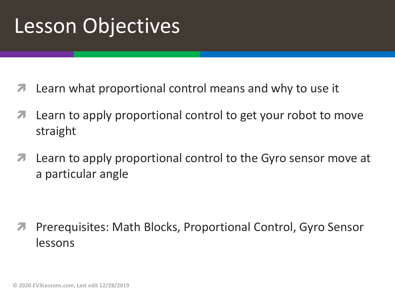## Lesson Objectives

- Learn what proportional control means and why to use it
- Learn to apply proportional control to get your robot to move straight
- **7** Learn to apply proportional control to the Gyro sensor move at a particular angle

ì Prerequisites: Math Blocks, Proportional Control, Gyro Sensor lessons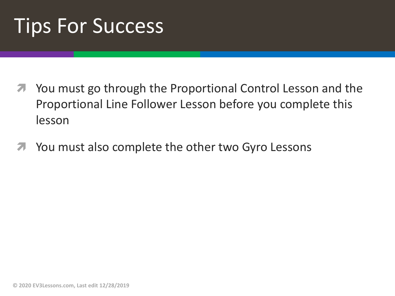## Tips For Success

- ì You must go through the Proportional Control Lesson and the Proportional Line Follower Lesson before you complete this lesson
- You must also complete the other two Gyro Lessons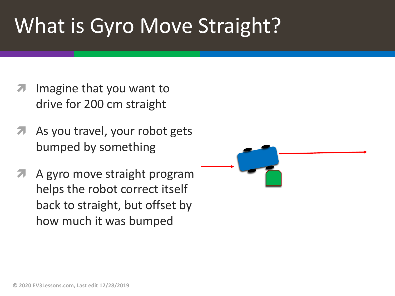# What is Gyro Move Straight?

- Imagine that you want to drive for 200 cm straight
- As you travel, your robot gets bumped by something
- A gyro move straight program helps the robot correct itself back to straight, but offset by how much it was bumped

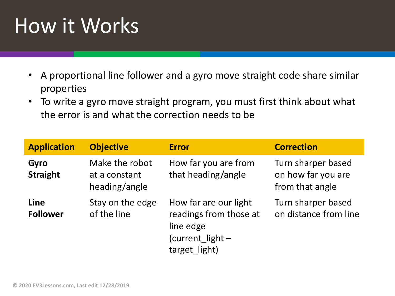# How it Works

- A proportional line follower and a gyro move straight code share similar properties
- To write a gyro move straight program, you must first think about what the error is and what the correction needs to be

| <b>Application</b>      | <b>Objective</b>                                 | <b>Error</b>                                                                                      | <b>Correction</b>                                           |
|-------------------------|--------------------------------------------------|---------------------------------------------------------------------------------------------------|-------------------------------------------------------------|
| Gyro<br><b>Straight</b> | Make the robot<br>at a constant<br>heading/angle | How far you are from<br>that heading/angle                                                        | Turn sharper based<br>on how far you are<br>from that angle |
| Line<br><b>Follower</b> | Stay on the edge<br>of the line                  | How far are our light<br>readings from those at<br>line edge<br>(current light -<br>target light) | Turn sharper based<br>on distance from line                 |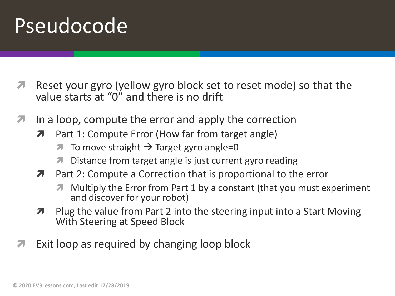#### Pseudocode

- **T** Reset your gyro (yellow gyro block set to reset mode) so that the value starts at "0" and there is no drift
- $\lambda$  In a loop, compute the error and apply the correction
	- **7** Part 1: Compute Error (How far from target angle)
		- $\overline{\phantom{a}}$  To move straight  $\rightarrow$  Target gyro angle=0
		- Distance from target angle is just current gyro reading
	- $\lambda$  Part 2: Compute a Correction that is proportional to the error
		- ì Multiply the Error from Part 1 by a constant (that you must experiment and discover for your robot)
	- $\lambda$  Plug the value from Part 2 into the steering input into a Start Moving With Steering at Speed Block
- Exit loop as required by changing loop block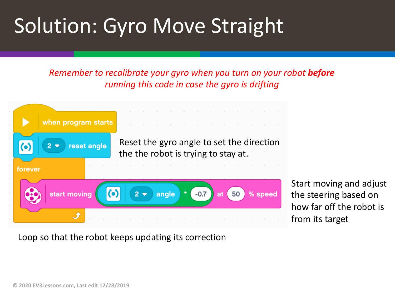# Solution: Gyro Move Straight

*Remember to recalibrate your gyro when you turn on your robot before running this code in case the gyro is drifting*



Start moving and adjust the steering based on how far off the robot is from its target

Loop so that the robot keeps updating its correction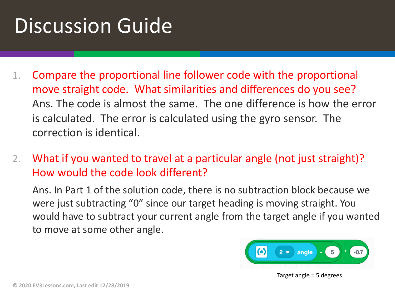# Discussion Guide

- 1. Compare the proportional line follower code with the proportional move straight code. What similarities and differences do you see? Ans. The code is almost the same. The one difference is how the error is calculated. The error is calculated using the gyro sensor. The correction is identical.
- 2. What if you wanted to travel at a particular angle (not just straight)? How would the code look different?

Ans. In Part 1 of the solution code, there is no subtraction block because we were just subtracting "0" since our target heading is moving straight. You would have to subtract your current angle from the target angle if you wanted to move at some other angle.



#### Target angle = 5 degrees